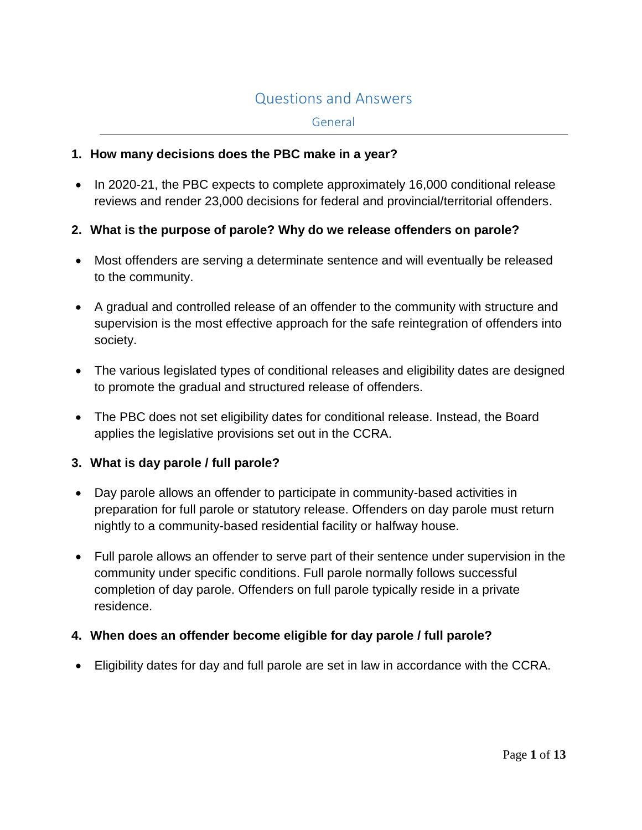# Questions and Answers

#### General

#### **1. How many decisions does the PBC make in a year?**

• In 2020-21, the PBC expects to complete approximately 16,000 conditional release reviews and render 23,000 decisions for federal and provincial/territorial offenders.

### **2. What is the purpose of parole? Why do we release offenders on parole?**

- Most offenders are serving a determinate sentence and will eventually be released to the community.
- A gradual and controlled release of an offender to the community with structure and supervision is the most effective approach for the safe reintegration of offenders into society.
- The various legislated types of conditional releases and eligibility dates are designed to promote the gradual and structured release of offenders.
- The PBC does not set eligibility dates for conditional release. Instead, the Board applies the legislative provisions set out in the CCRA.

#### **3. What is day parole / full parole?**

- Day parole allows an offender to participate in community-based activities in preparation for full parole or statutory release. Offenders on day parole must return nightly to a community-based residential facility or halfway house.
- Full parole allows an offender to serve part of their sentence under supervision in the community under specific conditions. Full parole normally follows successful completion of day parole. Offenders on full parole typically reside in a private residence.

#### **4. When does an offender become eligible for day parole / full parole?**

Eligibility dates for day and full parole are set in law in accordance with the CCRA.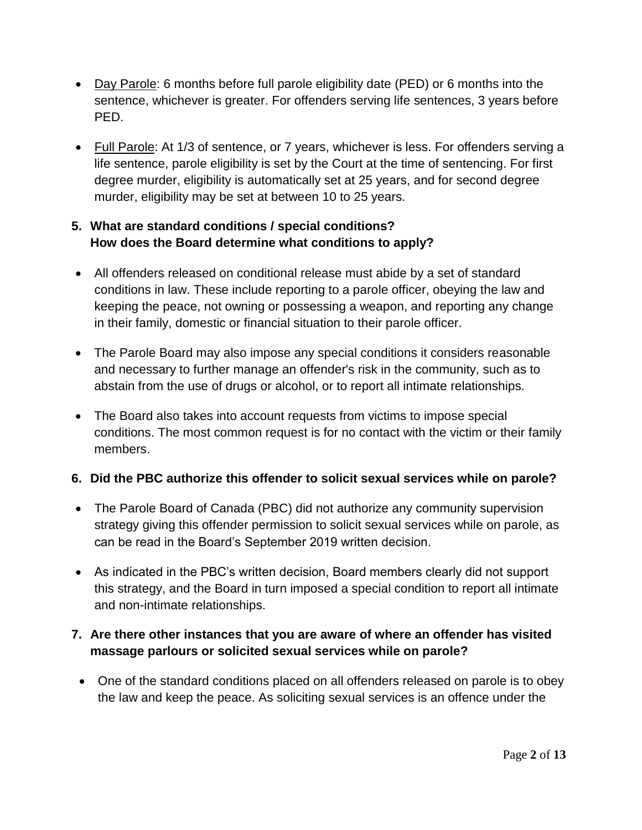- Day Parole: 6 months before full parole eligibility date (PED) or 6 months into the sentence, whichever is greater. For offenders serving life sentences, 3 years before PED.
- Full Parole: At 1/3 of sentence, or 7 years, whichever is less. For offenders serving a life sentence, parole eligibility is set by the Court at the time of sentencing. For first degree murder, eligibility is automatically set at 25 years, and for second degree murder, eligibility may be set at between 10 to 25 years.

## **5. What are standard conditions / special conditions? How does the Board determine what conditions to apply?**

- All offenders released on conditional release must abide by a set of standard conditions in law. These include reporting to a parole officer, obeying the law and keeping the peace, not owning or possessing a weapon, and reporting any change in their family, domestic or financial situation to their parole officer.
- The Parole Board may also impose any special conditions it considers reasonable and necessary to further manage an offender's risk in the community, such as to abstain from the use of drugs or alcohol, or to report all intimate relationships.
- The Board also takes into account requests from victims to impose special conditions. The most common request is for no contact with the victim or their family members.

## **6. Did the PBC authorize this offender to solicit sexual services while on parole?**

- The Parole Board of Canada (PBC) did not authorize any community supervision strategy giving this offender permission to solicit sexual services while on parole, as can be read in the Board's September 2019 written decision.
- As indicated in the PBC's written decision, Board members clearly did not support this strategy, and the Board in turn imposed a special condition to report all intimate and non-intimate relationships.

# **7. Are there other instances that you are aware of where an offender has visited massage parlours or solicited sexual services while on parole?**

• One of the standard conditions placed on all offenders released on parole is to obey the law and keep the peace. As soliciting sexual services is an offence under the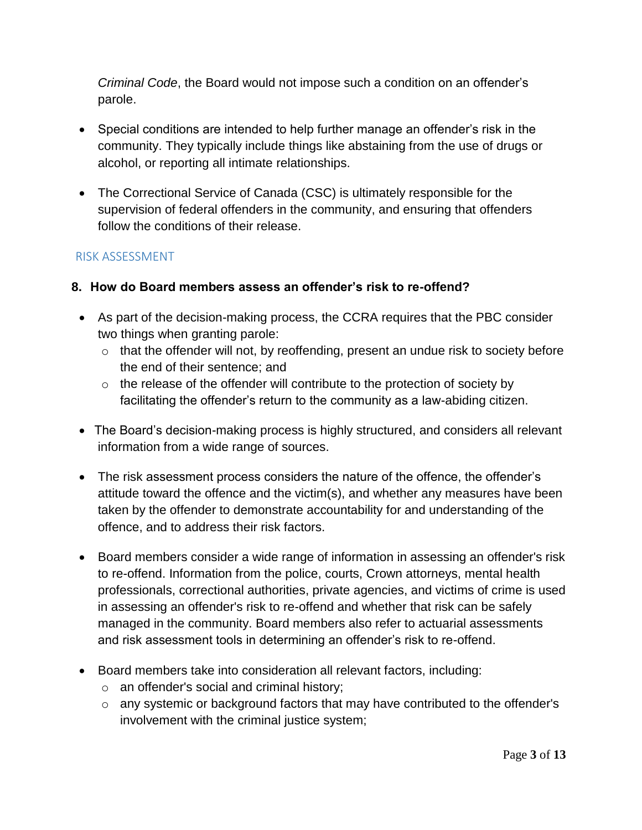*Criminal Code*, the Board would not impose such a condition on an offender's parole.

- Special conditions are intended to help further manage an offender's risk in the community. They typically include things like abstaining from the use of drugs or alcohol, or reporting all intimate relationships.
- The Correctional Service of Canada (CSC) is ultimately responsible for the supervision of federal offenders in the community, and ensuring that offenders follow the conditions of their release.

## RISK ASSESSMENT

### **8. How do Board members assess an offender's risk to re-offend?**

- As part of the decision-making process, the CCRA requires that the PBC consider two things when granting parole:
	- $\circ$  that the offender will not, by reoffending, present an undue risk to society before the end of their sentence; and
	- $\circ$  the release of the offender will contribute to the protection of society by facilitating the offender's return to the community as a law-abiding citizen.
- The Board's decision-making process is highly structured, and considers all relevant information from a wide range of sources.
- The risk assessment process considers the nature of the offence, the offender's attitude toward the offence and the victim(s), and whether any measures have been taken by the offender to demonstrate accountability for and understanding of the offence, and to address their risk factors.
- Board members consider a wide range of information in assessing an offender's risk to re-offend. Information from the police, courts, Crown attorneys, mental health professionals, correctional authorities, private agencies, and victims of crime is used in assessing an offender's risk to re-offend and whether that risk can be safely managed in the community. Board members also refer to actuarial assessments and risk assessment tools in determining an offender's risk to re-offend.
- Board members take into consideration all relevant factors, including:
	- o an offender's social and criminal history;
	- o any systemic or background factors that may have contributed to the offender's involvement with the criminal justice system;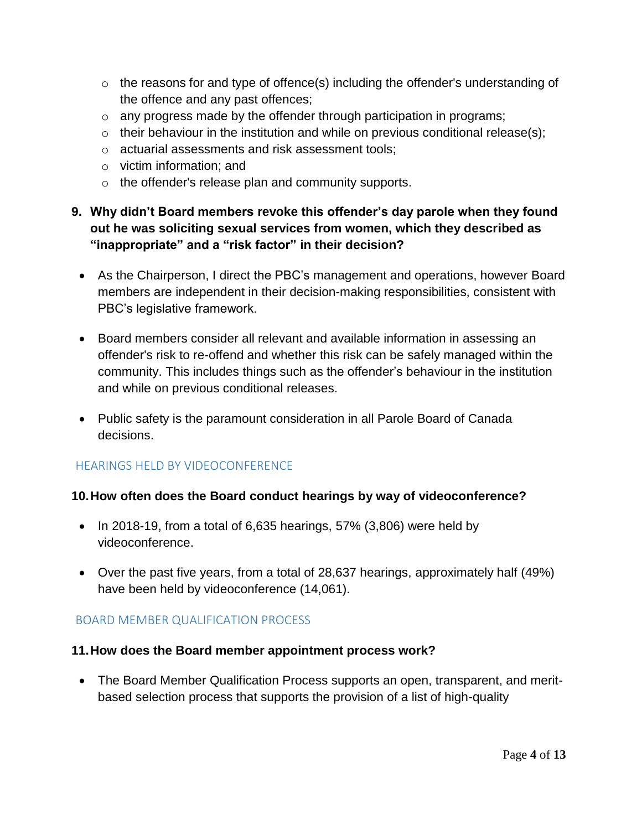- $\circ$  the reasons for and type of offence(s) including the offender's understanding of the offence and any past offences;
- o any progress made by the offender through participation in programs;
- $\circ$  their behaviour in the institution and while on previous conditional release(s);
- o actuarial assessments and risk assessment tools;
- o victim information; and
- o the offender's release plan and community supports.

# **9. Why didn't Board members revoke this offender's day parole when they found out he was soliciting sexual services from women, which they described as "inappropriate" and a "risk factor" in their decision?**

- As the Chairperson, I direct the PBC's management and operations, however Board members are independent in their decision-making responsibilities, consistent with PBC's legislative framework.
- Board members consider all relevant and available information in assessing an offender's risk to re-offend and whether this risk can be safely managed within the community. This includes things such as the offender's behaviour in the institution and while on previous conditional releases.
- Public safety is the paramount consideration in all Parole Board of Canada decisions.

# HEARINGS HELD BY VIDEOCONFERENCE

## **10.How often does the Board conduct hearings by way of videoconference?**

- $\bullet$  In 2018-19, from a total of 6,635 hearings, 57% (3,806) were held by videoconference.
- Over the past five years, from a total of 28,637 hearings, approximately half (49%) have been held by videoconference (14,061).

# BOARD MEMBER QUALIFICATION PROCESS

## **11.How does the Board member appointment process work?**

 The Board Member Qualification Process supports an open, transparent, and meritbased selection process that supports the provision of a list of high-quality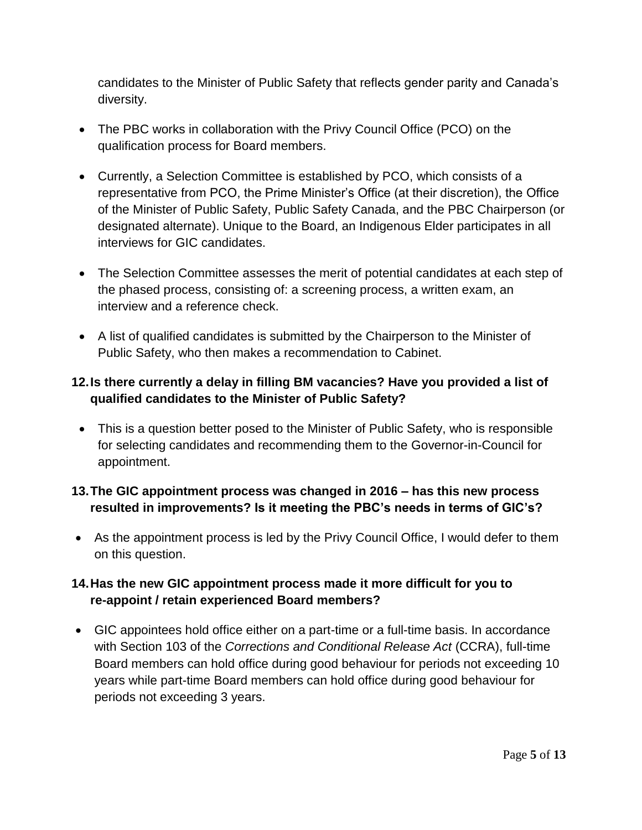candidates to the Minister of Public Safety that reflects gender parity and Canada's diversity.

- The PBC works in collaboration with the Privy Council Office (PCO) on the qualification process for Board members.
- Currently, a Selection Committee is established by PCO, which consists of a representative from PCO, the Prime Minister's Office (at their discretion), the Office of the Minister of Public Safety, Public Safety Canada, and the PBC Chairperson (or designated alternate). Unique to the Board, an Indigenous Elder participates in all interviews for GIC candidates.
- The Selection Committee assesses the merit of potential candidates at each step of the phased process, consisting of: a screening process, a written exam, an interview and a reference check.
- A list of qualified candidates is submitted by the Chairperson to the Minister of Public Safety, who then makes a recommendation to Cabinet.

# **12.Is there currently a delay in filling BM vacancies? Have you provided a list of qualified candidates to the Minister of Public Safety?**

 This is a question better posed to the Minister of Public Safety, who is responsible for selecting candidates and recommending them to the Governor-in-Council for appointment.

# **13.The GIC appointment process was changed in 2016 – has this new process resulted in improvements? Is it meeting the PBC's needs in terms of GIC's?**

 As the appointment process is led by the Privy Council Office, I would defer to them on this question.

# **14.Has the new GIC appointment process made it more difficult for you to re-appoint / retain experienced Board members?**

 GIC appointees hold office either on a part-time or a full-time basis. In accordance with Section 103 of the *Corrections and Conditional Release Act* (CCRA), full-time Board members can hold office during good behaviour for periods not exceeding 10 years while part-time Board members can hold office during good behaviour for periods not exceeding 3 years.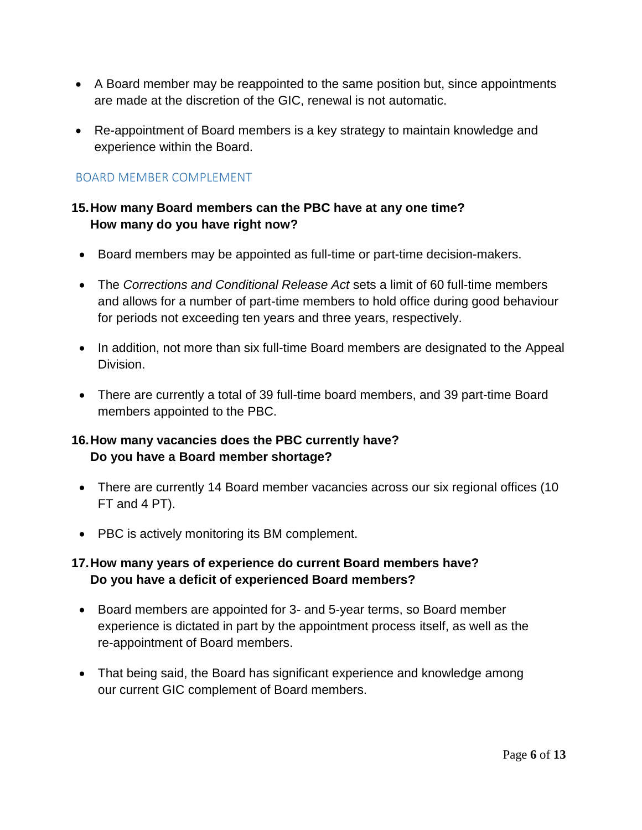- A Board member may be reappointed to the same position but, since appointments are made at the discretion of the GIC, renewal is not automatic.
- Re-appointment of Board members is a key strategy to maintain knowledge and experience within the Board.

### BOARD MEMBER COMPLEMENT

## **15.How many Board members can the PBC have at any one time? How many do you have right now?**

- Board members may be appointed as full-time or part-time decision-makers.
- The *Corrections and Conditional Release Act* sets a limit of 60 full-time members and allows for a number of part-time members to hold office during good behaviour for periods not exceeding ten years and three years, respectively.
- In addition, not more than six full-time Board members are designated to the Appeal Division.
- There are currently a total of 39 full-time board members, and 39 part-time Board members appointed to the PBC.

## **16.How many vacancies does the PBC currently have? Do you have a Board member shortage?**

- There are currently 14 Board member vacancies across our six regional offices (10 FT and 4 PT).
- PBC is actively monitoring its BM complement.

## **17.How many years of experience do current Board members have? Do you have a deficit of experienced Board members?**

- Board members are appointed for 3- and 5-year terms, so Board member experience is dictated in part by the appointment process itself, as well as the re-appointment of Board members.
- That being said, the Board has significant experience and knowledge among our current GIC complement of Board members.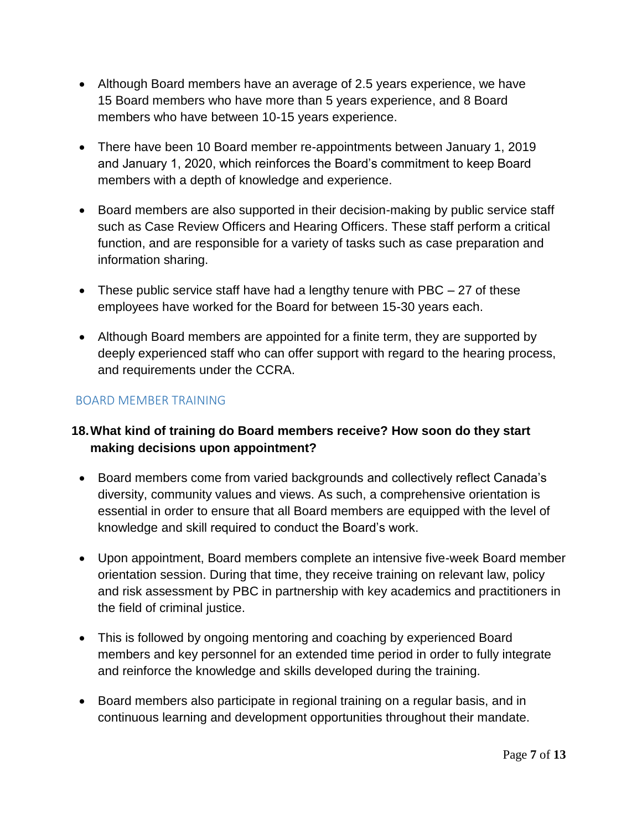- Although Board members have an average of 2.5 years experience, we have 15 Board members who have more than 5 years experience, and 8 Board members who have between 10-15 years experience.
- There have been 10 Board member re-appointments between January 1, 2019 and January 1, 2020, which reinforces the Board's commitment to keep Board members with a depth of knowledge and experience.
- Board members are also supported in their decision-making by public service staff such as Case Review Officers and Hearing Officers. These staff perform a critical function, and are responsible for a variety of tasks such as case preparation and information sharing.
- These public service staff have had a lengthy tenure with PBC  $-27$  of these employees have worked for the Board for between 15-30 years each.
- Although Board members are appointed for a finite term, they are supported by deeply experienced staff who can offer support with regard to the hearing process, and requirements under the CCRA.

## BOARD MEMBER TRAINING

## **18.What kind of training do Board members receive? How soon do they start making decisions upon appointment?**

- Board members come from varied backgrounds and collectively reflect Canada's diversity, community values and views. As such, a comprehensive orientation is essential in order to ensure that all Board members are equipped with the level of knowledge and skill required to conduct the Board's work.
- Upon appointment, Board members complete an intensive five-week Board member orientation session. During that time, they receive training on relevant law, policy and risk assessment by PBC in partnership with key academics and practitioners in the field of criminal justice.
- This is followed by ongoing mentoring and coaching by experienced Board members and key personnel for an extended time period in order to fully integrate and reinforce the knowledge and skills developed during the training.
- Board members also participate in regional training on a regular basis, and in continuous learning and development opportunities throughout their mandate.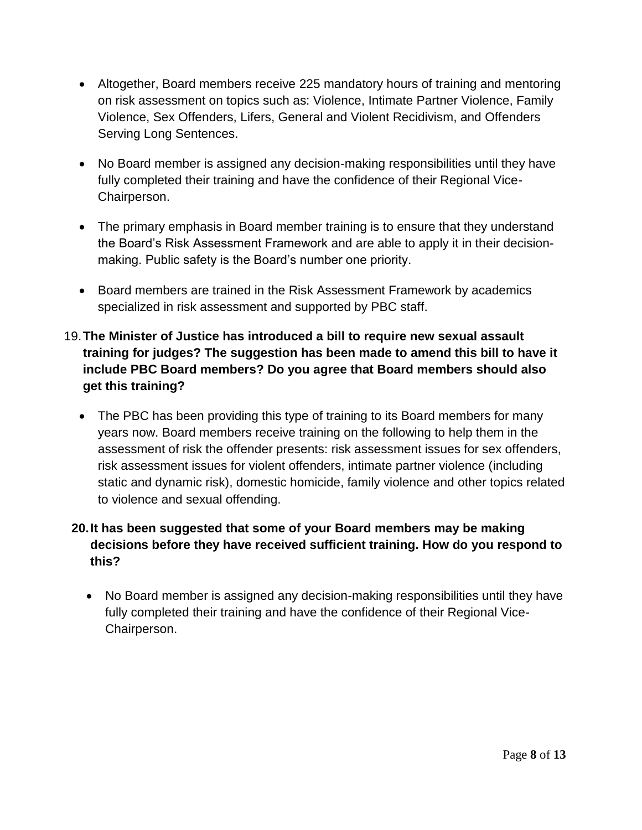- Altogether, Board members receive 225 mandatory hours of training and mentoring on risk assessment on topics such as: Violence, Intimate Partner Violence, Family Violence, Sex Offenders, Lifers, General and Violent Recidivism, and Offenders Serving Long Sentences.
- No Board member is assigned any decision-making responsibilities until they have fully completed their training and have the confidence of their Regional Vice-Chairperson.
- The primary emphasis in Board member training is to ensure that they understand the Board's Risk Assessment Framework and are able to apply it in their decisionmaking. Public safety is the Board's number one priority.
- Board members are trained in the Risk Assessment Framework by academics specialized in risk assessment and supported by PBC staff.
- 19.**The Minister of Justice has introduced a bill to require new sexual assault training for judges? The suggestion has been made to amend this bill to have it include PBC Board members? Do you agree that Board members should also get this training?**
	- The PBC has been providing this type of training to its Board members for many years now. Board members receive training on the following to help them in the assessment of risk the offender presents: risk assessment issues for sex offenders, risk assessment issues for violent offenders, intimate partner violence (including static and dynamic risk), domestic homicide, family violence and other topics related to violence and sexual offending.

# **20.It has been suggested that some of your Board members may be making decisions before they have received sufficient training. How do you respond to this?**

 No Board member is assigned any decision-making responsibilities until they have fully completed their training and have the confidence of their Regional Vice-Chairperson.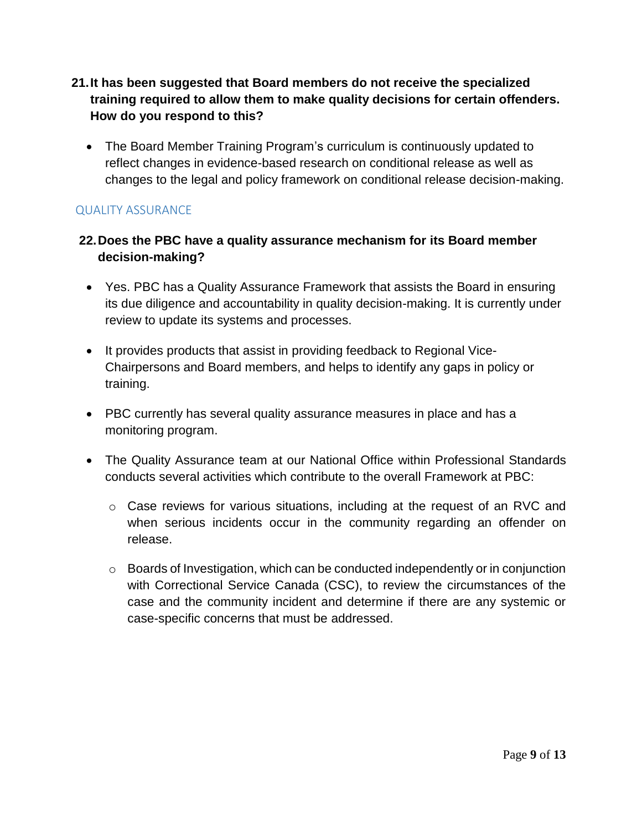- **21.It has been suggested that Board members do not receive the specialized training required to allow them to make quality decisions for certain offenders. How do you respond to this?**
	- The Board Member Training Program's curriculum is continuously updated to reflect changes in evidence-based research on conditional release as well as changes to the legal and policy framework on conditional release decision-making.

## QUALITY ASSURANCE

## **22.Does the PBC have a quality assurance mechanism for its Board member decision-making?**

- Yes. PBC has a Quality Assurance Framework that assists the Board in ensuring its due diligence and accountability in quality decision-making. It is currently under review to update its systems and processes.
- It provides products that assist in providing feedback to Regional Vice-Chairpersons and Board members, and helps to identify any gaps in policy or training.
- PBC currently has several quality assurance measures in place and has a monitoring program.
- The Quality Assurance team at our National Office within Professional Standards conducts several activities which contribute to the overall Framework at PBC:
	- o Case reviews for various situations, including at the request of an RVC and when serious incidents occur in the community regarding an offender on release.
	- $\circ$  Boards of Investigation, which can be conducted independently or in conjunction with Correctional Service Canada (CSC), to review the circumstances of the case and the community incident and determine if there are any systemic or case-specific concerns that must be addressed.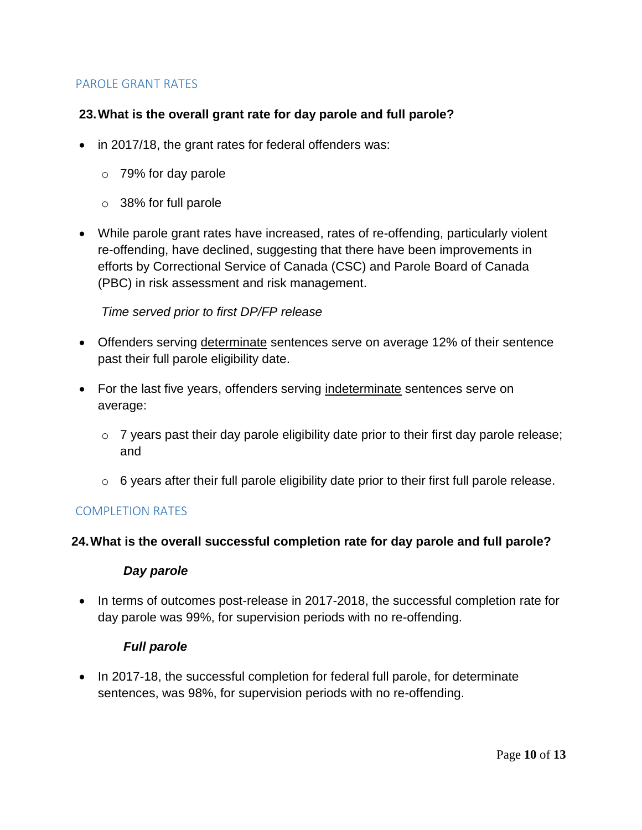### PAROLE GRANT RATES

#### **23.What is the overall grant rate for day parole and full parole?**

- in 2017/18, the grant rates for federal offenders was:
	- o 79% for day parole
	- o 38% for full parole
- While parole grant rates have increased, rates of re-offending, particularly violent re-offending, have declined, suggesting that there have been improvements in efforts by Correctional Service of Canada (CSC) and Parole Board of Canada (PBC) in risk assessment and risk management.

#### *Time served prior to first DP/FP release*

- Offenders serving determinate sentences serve on average 12% of their sentence past their full parole eligibility date.
- For the last five years, offenders serving indeterminate sentences serve on average:
	- o 7 years past their day parole eligibility date prior to their first day parole release; and
	- $\circ$  6 years after their full parole eligibility date prior to their first full parole release.

#### COMPLETION RATES

#### **24.What is the overall successful completion rate for day parole and full parole?**

#### *Day parole*

• In terms of outcomes post-release in 2017-2018, the successful completion rate for day parole was 99%, for supervision periods with no re-offending.

#### *Full parole*

• In 2017-18, the successful completion for federal full parole, for determinate sentences, was 98%, for supervision periods with no re-offending.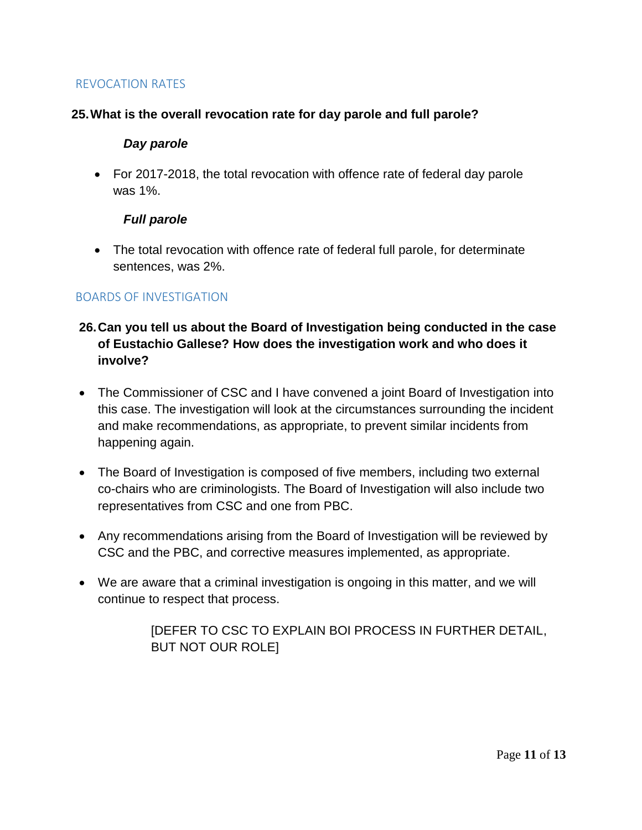### REVOCATION RATES

### **25.What is the overall revocation rate for day parole and full parole?**

#### *Day parole*

 For 2017-2018, the total revocation with offence rate of federal day parole was 1%.

#### *Full parole*

 The total revocation with offence rate of federal full parole, for determinate sentences, was 2%.

### BOARDS OF INVESTIGATION

## **26.Can you tell us about the Board of Investigation being conducted in the case of Eustachio Gallese? How does the investigation work and who does it involve?**

- The Commissioner of CSC and I have convened a joint Board of Investigation into this case. The investigation will look at the circumstances surrounding the incident and make recommendations, as appropriate, to prevent similar incidents from happening again.
- The Board of Investigation is composed of five members, including two external co-chairs who are criminologists. The Board of Investigation will also include two representatives from CSC and one from PBC.
- Any recommendations arising from the Board of Investigation will be reviewed by CSC and the PBC, and corrective measures implemented, as appropriate.
- We are aware that a criminal investigation is ongoing in this matter, and we will continue to respect that process.

[DEFER TO CSC TO EXPLAIN BOI PROCESS IN FURTHER DETAIL, BUT NOT OUR ROLE]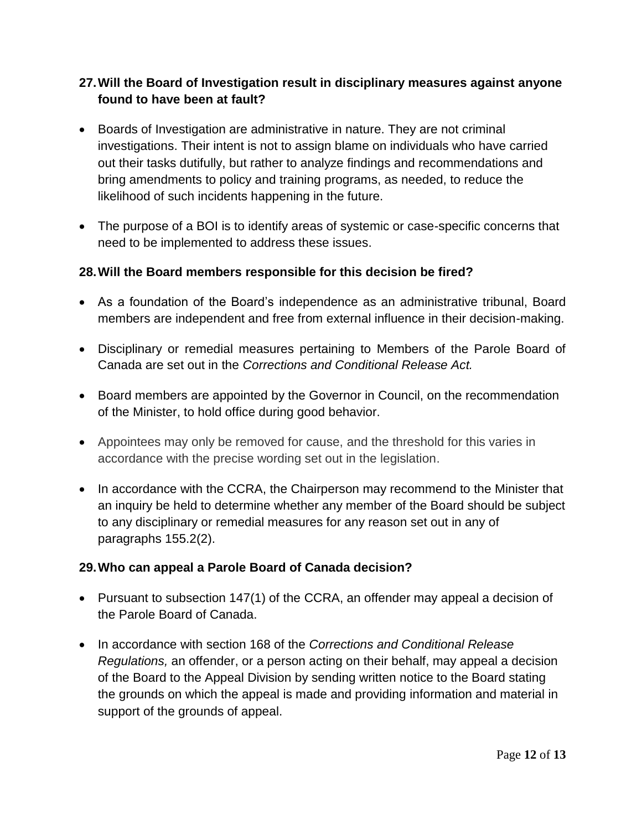## **27.Will the Board of Investigation result in disciplinary measures against anyone found to have been at fault?**

- Boards of Investigation are administrative in nature. They are not criminal investigations. Their intent is not to assign blame on individuals who have carried out their tasks dutifully, but rather to analyze findings and recommendations and bring amendments to policy and training programs, as needed, to reduce the likelihood of such incidents happening in the future.
- The purpose of a BOI is to identify areas of systemic or case-specific concerns that need to be implemented to address these issues.

## **28.Will the Board members responsible for this decision be fired?**

- As a foundation of the Board's independence as an administrative tribunal, Board members are independent and free from external influence in their decision-making.
- Disciplinary or remedial measures pertaining to Members of the Parole Board of Canada are set out in the *Corrections and Conditional Release Act.*
- Board members are appointed by the Governor in Council, on the recommendation of the Minister, to hold office during good behavior.
- Appointees may only be removed for cause, and the threshold for this varies in accordance with the precise wording set out in the legislation.
- In accordance with the CCRA, the Chairperson may recommend to the Minister that an inquiry be held to determine whether any member of the Board should be subject to any disciplinary or remedial measures for any reason set out in any of paragraphs 155.2(2).

# **29.Who can appeal a Parole Board of Canada decision?**

- Pursuant to subsection 147(1) of the CCRA, an offender may appeal a decision of the Parole Board of Canada.
- In accordance with section 168 of the *Corrections and Conditional Release Regulations,* an offender, or a person acting on their behalf, may appeal a decision of the Board to the Appeal Division by sending written notice to the Board stating the grounds on which the appeal is made and providing information and material in support of the grounds of appeal.